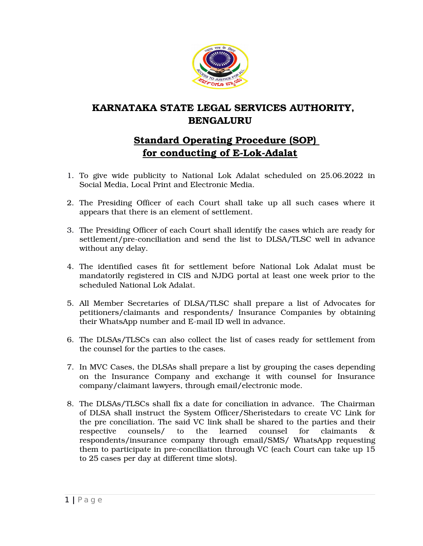

## **KARNATAKA STATE LEGAL SERVICES AUTHORITY, BENGALURU**

## **Standard Operating Procedure (SOP)**  for conducting of E-Lok-Adalat

- 1. To give wide publicity to National Lok Adalat scheduled on 25.06.2022 in Social Media, Local Print and Electronic Media.
- 2. The Presiding Officer of each Court shall take up all such cases where it appears that there is an element of settlement.
- 3. The Presiding Officer of each Court shall identify the cases which are ready for settlement/pre-conciliation and send the list to DLSA/TLSC well in advance without any delay.
- 4. The identified cases fit for settlement before National Lok Adalat must be mandatorily registered in CIS and NJDG portal at least one week prior to the scheduled National Lok Adalat.
- 5. All Member Secretaries of DLSA/TLSC shall prepare a list of Advocates for petitioners/claimants and respondents/ Insurance Companies by obtaining their WhatsApp number and E-mail ID well in advance.
- 6. The DLSAs/TLSCs can also collect the list of cases ready for settlement from the counsel for the parties to the cases.
- 7. In MVC Cases, the DLSAs shall prepare a list by grouping the cases depending on the Insurance Company and exchange it with counsel for Insurance company/claimant lawyers, through email/electronic mode.
- 8. The DLSAs/TLSCs shall fix a date for conciliation in advance. The Chairman of DLSA shall instruct the System Officer/Sheristedars to create VC Link for the pre conciliation. The said VC link shall be shared to the parties and their respective counsels/ to the learned counsel for claimants respondents/insurance company through email/SMS/ WhatsApp requesting them to participate in pre-conciliation through VC (each Court can take up 15 to 25 cases per day at different time slots).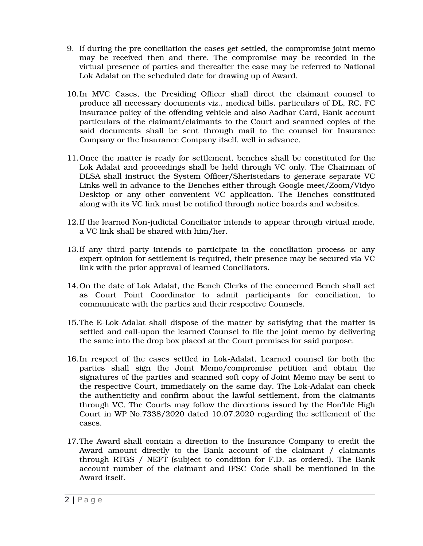- 9. If during the pre conciliation the cases get settled, the compromise joint memo may be received then and there. The compromise may be recorded in the virtual presence of parties and thereafter the case may be referred to National Lok Adalat on the scheduled date for drawing up of Award.
- 10.In MVC Cases, the Presiding Officer shall direct the claimant counsel to produce all necessary documents viz., medical bills, particulars of DL, RC, FC Insurance policy of the offending vehicle and also Aadhar Card, Bank account particulars of the claimant/claimants to the Court and scanned copies of the said documents shall be sent through mail to the counsel for Insurance Company or the Insurance Company itself, well in advance.
- 11.Once the matter is ready for settlement, benches shall be constituted for the Lok Adalat and proceedings shall be held through VC only. The Chairman of DLSA shall instruct the System Officer/Sheristedars to generate separate VC Links well in advance to the Benches either through Google meet/Zoom/Vidyo Desktop or any other convenient VC application. The Benches constituted along with its VC link must be notified through notice boards and websites.
- 12. If the learned Non-judicial Conciliator intends to appear through virtual mode, a VC link shall be shared with him/her.
- 13.If any third party intends to participate in the conciliation process or any expert opinion for settlement is required, their presence may be secured via VC link with the prior approval of learned Conciliators.
- 14.On the date of Lok Adalat, the Bench Clerks of the concerned Bench shall act as Court Point Coordinator to admit participants for conciliation, to communicate with the parties and their respective Counsels.
- 15. The E-Lok-Adalat shall dispose of the matter by satisfying that the matter is settled and call-upon the learned Counsel to file the joint memo by delivering the same into the drop box placed at the Court premises for said purpose.
- 16. In respect of the cases settled in Lok-Adalat, Learned counsel for both the parties shall sign the Joint Memo/compromise petition and obtain the signatures of the parties and scanned soft copy of Joint Memo may be sent to the respective Court, immediately on the same day. The Lok-Adalat can check the authenticity and confirm about the lawful settlement, from the claimants through VC. The Courts may follow the directions issued by the Hon'ble High Court in WP No.7338/2020 dated 10.07.2020 regarding the settlement of the cases.
- 17.The Award shall contain a direction to the Insurance Company to credit the Award amount directly to the Bank account of the claimant / claimants through RTGS / NEFT (subject to condition for F.D. as ordered). The Bank account number of the claimant and IFSC Code shall be mentioned in the Award itself.